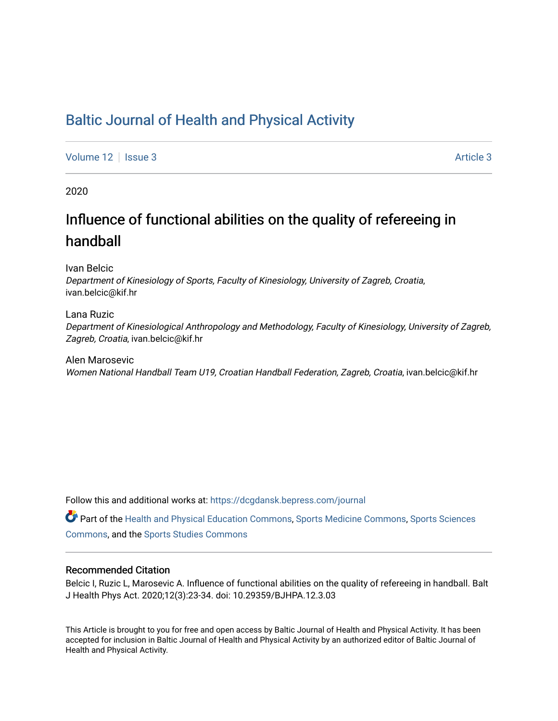## [Baltic Journal of Health and Physical Activity](https://dcgdansk.bepress.com/journal)

[Volume 12](https://dcgdansk.bepress.com/journal/vol12) | [Issue 3](https://dcgdansk.bepress.com/journal/vol12/iss3) Article 3

2020

# Influence of functional abilities on the quality of refereeing in handball

Ivan Belcic

Department of Kinesiology of Sports, Faculty of Kinesiology, University of Zagreb, Croatia, ivan.belcic@kif.hr

Lana Ruzic Department of Kinesiological Anthropology and Methodology, Faculty of Kinesiology, University of Zagreb, Zagreb, Croatia, ivan.belcic@kif.hr

Alen Marosevic Women National Handball Team U19, Croatian Handball Federation, Zagreb, Croatia, ivan.belcic@kif.hr

Follow this and additional works at: [https://dcgdansk.bepress.com/journal](https://dcgdansk.bepress.com/journal?utm_source=dcgdansk.bepress.com%2Fjournal%2Fvol12%2Fiss3%2F3&utm_medium=PDF&utm_campaign=PDFCoverPages)

Part of the [Health and Physical Education Commons](http://network.bepress.com/hgg/discipline/1327?utm_source=dcgdansk.bepress.com%2Fjournal%2Fvol12%2Fiss3%2F3&utm_medium=PDF&utm_campaign=PDFCoverPages), [Sports Medicine Commons,](http://network.bepress.com/hgg/discipline/1331?utm_source=dcgdansk.bepress.com%2Fjournal%2Fvol12%2Fiss3%2F3&utm_medium=PDF&utm_campaign=PDFCoverPages) [Sports Sciences](http://network.bepress.com/hgg/discipline/759?utm_source=dcgdansk.bepress.com%2Fjournal%2Fvol12%2Fiss3%2F3&utm_medium=PDF&utm_campaign=PDFCoverPages) [Commons](http://network.bepress.com/hgg/discipline/759?utm_source=dcgdansk.bepress.com%2Fjournal%2Fvol12%2Fiss3%2F3&utm_medium=PDF&utm_campaign=PDFCoverPages), and the [Sports Studies Commons](http://network.bepress.com/hgg/discipline/1198?utm_source=dcgdansk.bepress.com%2Fjournal%2Fvol12%2Fiss3%2F3&utm_medium=PDF&utm_campaign=PDFCoverPages) 

#### Recommended Citation

Belcic I, Ruzic L, Marosevic A. Influence of functional abilities on the quality of refereeing in handball. Balt J Health Phys Act. 2020;12(3):23-34. doi: 10.29359/BJHPA.12.3.03

This Article is brought to you for free and open access by Baltic Journal of Health and Physical Activity. It has been accepted for inclusion in Baltic Journal of Health and Physical Activity by an authorized editor of Baltic Journal of Health and Physical Activity.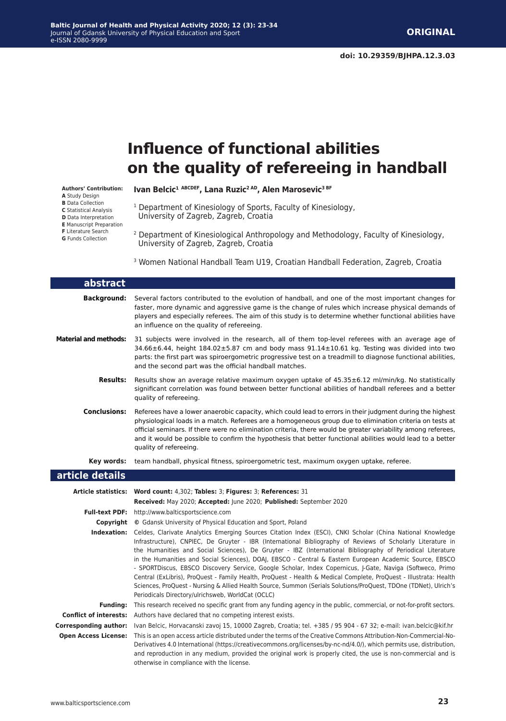# **Influence of functional abilities on the quality of refereeing in handball**

#### **Authors' Contribution:**

- **A** Study Design **B** Data Collection
- **C** Statistical Analysis
- **D** Data Interpretation
- **E** Manuscript Preparation
- **F** Literature Search
- **G** Funds Collection
- 
- 2 Department of Kinesiological Anthropology and Methodology, Faculty of Kinesiology,

University of Zagreb, Zagreb, Croatia

Ivan Belcic<sup>1 ABCDEF</sup>, Lana Ruzic<sup>2 AD</sup>, Alen Marosevic<sup>3 BF</sup>

<sup>1</sup> Department of Kinesiology of Sports, Faculty of Kinesiology,

- University of Zagreb, Zagreb, Croatia
- 3 Women National Handball Team U19, Croatian Handball Federation, Zagreb, Croatia

| abstract                     |                                                                                                                                                                                                                                                                                                                                                                                                                                                                                                                                                                                                                                                                                      |
|------------------------------|--------------------------------------------------------------------------------------------------------------------------------------------------------------------------------------------------------------------------------------------------------------------------------------------------------------------------------------------------------------------------------------------------------------------------------------------------------------------------------------------------------------------------------------------------------------------------------------------------------------------------------------------------------------------------------------|
| <b>Background:</b>           | Several factors contributed to the evolution of handball, and one of the most important changes for<br>faster, more dynamic and aggressive game is the change of rules which increase physical demands of<br>players and especially referees. The aim of this study is to determine whether functional abilities have<br>an influence on the quality of refereeing.                                                                                                                                                                                                                                                                                                                  |
| <b>Material and methods:</b> | 31 subjects were involved in the research, all of them top-level referees with an average age of<br>$34.66 \pm 6.44$ , height $184.02 \pm 5.87$ cm and body mass $91.14 \pm 10.61$ kg. Testing was divided into two<br>parts: the first part was spiroergometric progressive test on a treadmill to diagnose functional abilities,<br>and the second part was the official handball matches.                                                                                                                                                                                                                                                                                         |
| <b>Results:</b>              | Results show an average relative maximum oxygen uptake of $45.35\pm6.12$ ml/min/kg. No statistically<br>significant correlation was found between better functional abilities of handball referees and a better<br>quality of refereeing.                                                                                                                                                                                                                                                                                                                                                                                                                                            |
| <b>Conclusions:</b>          | Referees have a lower anaerobic capacity, which could lead to errors in their judgment during the highest<br>physiological loads in a match. Referees are a homogeneous group due to elimination criteria on tests at<br>official seminars. If there were no elimination criteria, there would be greater variability among referees,<br>and it would be possible to confirm the hypothesis that better functional abilities would lead to a better<br>quality of refereeing.                                                                                                                                                                                                        |
| Key words:                   | team handball, physical fitness, spiroergometric test, maximum oxygen uptake, referee.                                                                                                                                                                                                                                                                                                                                                                                                                                                                                                                                                                                               |
| article details              |                                                                                                                                                                                                                                                                                                                                                                                                                                                                                                                                                                                                                                                                                      |
| <b>Article statistics:</b>   | Word count: 4,302; Tables: 3; Figures: 3; References: 31<br>Received: May 2020; Accepted: June 2020; Published: September 2020                                                                                                                                                                                                                                                                                                                                                                                                                                                                                                                                                       |
| <b>Full-text PDF:</b>        | http://www.balticsportscience.com                                                                                                                                                                                                                                                                                                                                                                                                                                                                                                                                                                                                                                                    |
| Copyright                    | © Gdansk University of Physical Education and Sport, Poland                                                                                                                                                                                                                                                                                                                                                                                                                                                                                                                                                                                                                          |
| Indexation:                  | Celdes, Clarivate Analytics Emerging Sources Citation Index (ESCI), CNKI Scholar (China National Knowledge<br>Infrastructure), CNPIEC, De Gruyter - IBR (International Bibliography of Reviews of Scholarly Literature in<br>the Humanities and Social Sciences), De Gruyter - IBZ (International Bibliography of Periodical Literature<br>in the Humanities and Social Sciences), DOAJ, EBSCO - Central & Eastern European Academic Source, EBSCO<br>- SPORTDiscus, EBSCO Discovery Service, Google Scholar, Index Copernicus, J-Gate, Naviga (Softweco, Primo<br>Central (ExLibris), ProQuest - Family Health, ProQuest - Health & Medical Complete, ProQuest - Illustrata; Health |

Periodicals Directory/ulrichsweb, WorldCat (OCLC) **Funding:** This research received no specific grant from any funding agency in the public, commercial, or not-for-profit sectors. **Conflict of interests:** Authors have declared that no competing interest exists.

Sciences, ProQuest - Nursing & Allied Health Source, Summon (Serials Solutions/ProQuest, TDOne (TDNet), Ulrich's

**Corresponding author:** Ivan Belcic, Horvacanski zavoj 15, 10000 Zagreb, Croatia; tel. +385 / 95 904 - 67 32; e-mail: ivan.belcic@kif.hr **Open Access License:** This is an open access article distributed under the terms of the Creative Commons Attribution-Non-Commercial-No-Derivatives 4.0 International (https://creativecommons.org/licenses/by-nc-nd/4.0/), which permits use, distribution, and reproduction in any medium, provided the original work is properly cited, the use is non-commercial and is otherwise in compliance with the license.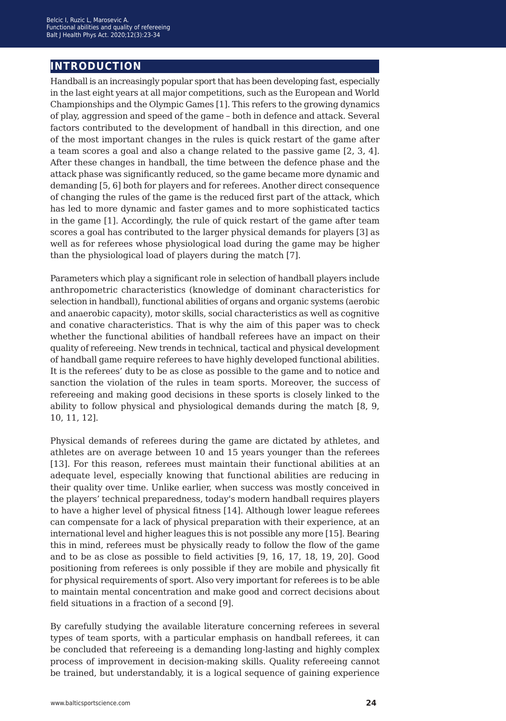## **introduction**

Handball is an increasingly popular sport that has been developing fast, especially in the last eight years at all major competitions, such as the European and World Championships and the Olympic Games [1]. This refers to the growing dynamics of play, aggression and speed of the game – both in defence and attack. Several factors contributed to the development of handball in this direction, and one of the most important changes in the rules is quick restart of the game after a team scores a goal and also a change related to the passive game [2, 3, 4]. After these changes in handball, the time between the defence phase and the attack phase was significantly reduced, so the game became more dynamic and demanding [5, 6] both for players and for referees. Another direct consequence of changing the rules of the game is the reduced first part of the attack, which has led to more dynamic and faster games and to more sophisticated tactics in the game [1]. Accordingly, the rule of quick restart of the game after team scores a goal has contributed to the larger physical demands for players [3] as well as for referees whose physiological load during the game may be higher than the physiological load of players during the match [7].

Parameters which play a significant role in selection of handball players include anthropometric characteristics (knowledge of dominant characteristics for selection in handball), functional abilities of organs and organic systems (aerobic and anaerobic capacity), motor skills, social characteristics as well as cognitive and conative characteristics. That is why the aim of this paper was to check whether the functional abilities of handball referees have an impact on their quality of refereeing. New trends in technical, tactical and physical development of handball game require referees to have highly developed functional abilities. It is the referees' duty to be as close as possible to the game and to notice and sanction the violation of the rules in team sports. Moreover, the success of refereeing and making good decisions in these sports is closely linked to the ability to follow physical and physiological demands during the match [8, 9, 10, 11, 12].

Physical demands of referees during the game are dictated by athletes, and athletes are on average between 10 and 15 years younger than the referees [13]. For this reason, referees must maintain their functional abilities at an adequate level, especially knowing that functional abilities are reducing in their quality over time. Unlike earlier, when success was mostly conceived in the players' technical preparedness, today's modern handball requires players to have a higher level of physical fitness [14]. Although lower league referees can compensate for a lack of physical preparation with their experience, at an international level and higher leagues this is not possible any more [15]. Bearing this in mind, referees must be physically ready to follow the flow of the game and to be as close as possible to field activities [9, 16, 17, 18, 19, 20]. Good positioning from referees is only possible if they are mobile and physically fit for physical requirements of sport. Also very important for referees is to be able to maintain mental concentration and make good and correct decisions about field situations in a fraction of a second [9].

By carefully studying the available literature concerning referees in several types of team sports, with a particular emphasis on handball referees, it can be concluded that refereeing is a demanding long-lasting and highly complex process of improvement in decision-making skills. Quality refereeing cannot be trained, but understandably, it is a logical sequence of gaining experience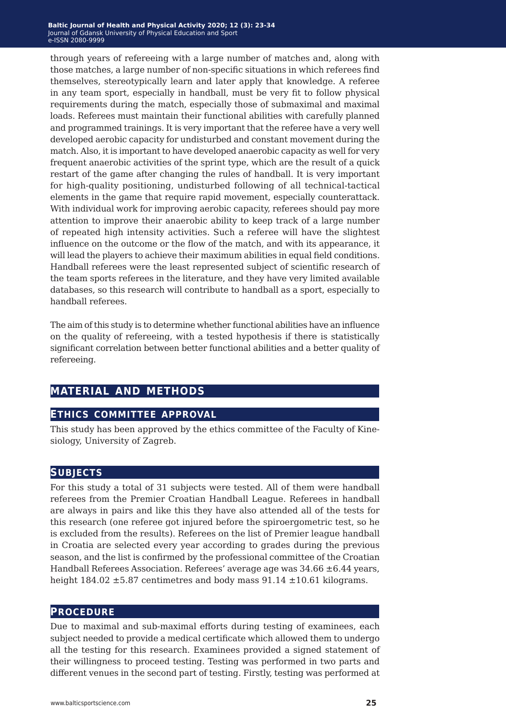through years of refereeing with a large number of matches and, along with those matches, a large number of non-specific situations in which referees find themselves, stereotypically learn and later apply that knowledge. A referee in any team sport, especially in handball, must be very fit to follow physical requirements during the match, especially those of submaximal and maximal loads. Referees must maintain their functional abilities with carefully planned and programmed trainings. It is very important that the referee have a very well developed aerobic capacity for undisturbed and constant movement during the match. Also, it is important to have developed anaerobic capacity as well for very frequent anaerobic activities of the sprint type, which are the result of a quick restart of the game after changing the rules of handball. It is very important for high-quality positioning, undisturbed following of all technical-tactical elements in the game that require rapid movement, especially counterattack. With individual work for improving aerobic capacity, referees should pay more attention to improve their anaerobic ability to keep track of a large number of repeated high intensity activities. Such a referee will have the slightest influence on the outcome or the flow of the match, and with its appearance, it will lead the players to achieve their maximum abilities in equal field conditions. Handball referees were the least represented subject of scientific research of the team sports referees in the literature, and they have very limited available databases, so this research will contribute to handball as a sport, especially to handball referees.

The aim of this study is to determine whether functional abilities have an influence on the quality of refereeing, with a tested hypothesis if there is statistically significant correlation between better functional abilities and a better quality of refereeing.

### **material and methods**

#### **ethics committee approval**

This study has been approved by the ethics committee of the Faculty of Kinesiology, University of Zagreb.

#### **subjects**

For this study a total of 31 subjects were tested. All of them were handball referees from the Premier Croatian Handball League. Referees in handball are always in pairs and like this they have also attended all of the tests for this research (one referee got injured before the spiroergometric test, so he is excluded from the results). Referees on the list of Premier league handball in Croatia are selected every year according to grades during the previous season, and the list is confirmed by the professional committee of the Croatian Handball Referees Association. Referees' average age was  $34.66 \pm 6.44$  years, height  $184.02 \pm 5.87$  centimetres and body mass  $91.14 \pm 10.61$  kilograms.

#### **procedure**

Due to maximal and sub-maximal efforts during testing of examinees, each subject needed to provide a medical certificate which allowed them to undergo all the testing for this research. Examinees provided a signed statement of their willingness to proceed testing. Testing was performed in two parts and different venues in the second part of testing. Firstly, testing was performed at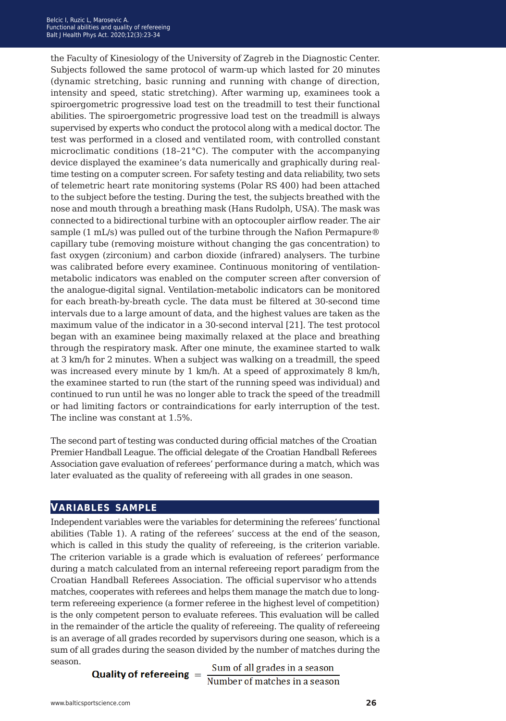the Faculty of Kinesiology of the University of Zagreb in the Diagnostic Center. Subjects followed the same protocol of warm-up which lasted for 20 minutes (dynamic stretching, basic running and running with change of direction, intensity and speed, static stretching). After warming up, examinees took a spiroergometric progressive load test on the treadmill to test their functional abilities. The spiroergometric progressive load test on the treadmill is always supervised by experts who conduct the protocol along with a medical doctor. The test was performed in a closed and ventilated room, with controlled constant microclimatic conditions (18*−*21°C). The computer with the accompanying device displayed the examinee's data numerically and graphically during realtime testing on a computer screen. For safety testing and data reliability, two sets of telemetric heart rate monitoring systems (Polar RS 400) had been attached to the subject before the testing. During the test, the subjects breathed with the nose and mouth through a breathing mask (Hans Rudolph, USA). The mask was connected to a bidirectional turbine with an optocoupler airflow reader. The air sample (1 mL/s) was pulled out of the turbine through the Nafion Permapure® capillary tube (removing moisture without changing the gas concentration) to fast oxygen (zirconium) and carbon dioxide (infrared) analysers. The turbine was calibrated before every examinee. Continuous monitoring of ventilationmetabolic indicators was enabled on the computer screen after conversion of the analogue-digital signal. Ventilation-metabolic indicators can be monitored for each breath-by-breath cycle. The data must be filtered at 30-second time intervals due to a large amount of data, and the highest values are taken as the maximum value of the indicator in a 30-second interval [21]. The test protocol began with an examinee being maximally relaxed at the place and breathing through the respiratory mask. After one minute, the examinee started to walk at 3 km/h for 2 minutes. When a subject was walking on a treadmill, the speed was increased every minute by 1 km/h. At a speed of approximately 8 km/h, the examinee started to run (the start of the running speed was individual) and continued to run until he was no longer able to track the speed of the treadmill or had limiting factors or contraindications for early interruption of the test. The incline was constant at 1.5%.

The second part of testing was conducted during official matches of the Croatian Premier Handball League. The official delegate of the Croatian Handball Referees Association gave evaluation of referees' performance during a match, which was later evaluated as the quality of refereeing with all grades in one season.

#### **variables sample**

Independent variables were the variables for determining the referees' functional abilities (Table 1). A rating of the referees' success at the end of the season, which is called in this study the quality of refereeing, is the criterion variable. The criterion variable is a grade which is evaluation of referees' performance during a match calculated from an internal refereeing report paradigm from the Croatian Handball Referees Association. The official supervisor who attends matches, cooperates with referees and helps them manage the match due to longterm refereeing experience (a former referee in the highest level of competition) is the only competent person to evaluate referees. This evaluation will be called in the remainder of the article the quality of refereeing. The quality of refereeing is an average of all grades recorded by supervisors during one season, which is a sum of all grades during the season divided by the number of matches during the season.

**Quality of refereeing**  $=$   $\frac{\text{Sum of all grades in a season}}{\text{Number of matches in a season}}$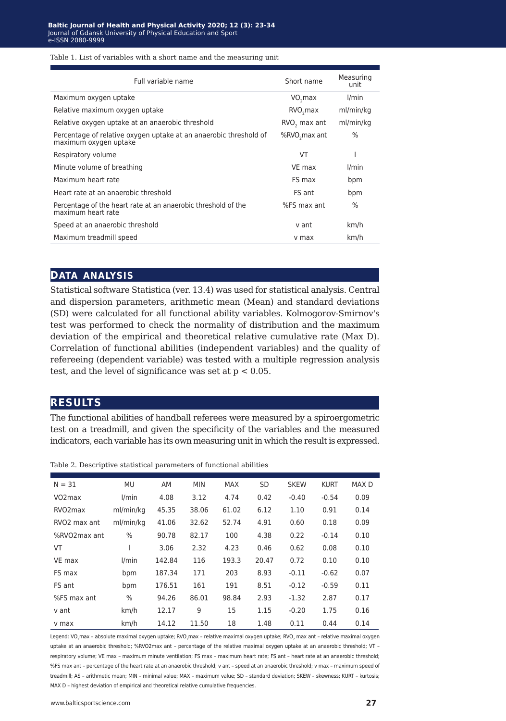#### Table 1. List of variables with a short name and the measuring unit

| Full variable name                                                                         | Short name                | Measuring<br>unit |
|--------------------------------------------------------------------------------------------|---------------------------|-------------------|
| Maximum oxygen uptake                                                                      | VO <sub>2</sub> max       | l/min             |
| Relative maximum oxygen uptake                                                             | RVO <sub>2</sub> max      | ml/min/kg         |
| Relative oxygen uptake at an anaerobic threshold                                           | RVO <sub>2</sub> max ant  | ml/min/kg         |
| Percentage of relative oxygen uptake at an anaerobic threshold of<br>maximum oxygen uptake | %RVO <sub>2</sub> max ant | $\frac{0}{0}$     |
| Respiratory volume                                                                         | VT                        |                   |
| Minute volume of breathing                                                                 | VE max                    | l/min             |
| Maximum heart rate                                                                         | FS max                    | bpm               |
| Heart rate at an anaerobic threshold                                                       | FS ant                    | bpm               |
| Percentage of the heart rate at an anaerobic threshold of the<br>maximum heart rate        | %FS max ant               | $\%$              |
| Speed at an anaerobic threshold                                                            | v ant                     | km/h              |
| Maximum treadmill speed                                                                    | v max                     | km/h              |

#### **data analysis**

Statistical software Statistica (ver. 13.4) was used for statistical analysis. Central and dispersion parameters, arithmetic mean (Mean) and standard deviations (SD) were calculated for all functional ability variables. Kolmogorov-Smirnov's test was performed to check the normality of distribution and the maximum deviation of the empirical and theoretical relative cumulative rate (Max D). Correlation of functional abilities (independent variables) and the quality of refereeing (dependent variable) was tested with a multiple regression analysis test, and the level of significance was set at  $p < 0.05$ .

#### **results**

The functional abilities of handball referees were measured by a spiroergometric test on a treadmill, and given the specificity of the variables and the measured indicators, each variable has its own measuring unit in which the result is expressed.

| $N = 31$                 | MU        | AM     | <b>MIN</b> | <b>MAX</b> | <b>SD</b> | <b>SKEW</b> | <b>KURT</b> | MAX <sub>D</sub> |
|--------------------------|-----------|--------|------------|------------|-----------|-------------|-------------|------------------|
| VO <sub>2</sub> max      | l/min     | 4.08   | 3.12       | 4.74       | 0.42      | $-0.40$     | $-0.54$     | 0.09             |
| RVO <sub>2</sub> max     | ml/min/kg | 45.35  | 38.06      | 61.02      | 6.12      | 1.10        | 0.91        | 0.14             |
| RVO <sub>2</sub> max ant | ml/min/kg | 41.06  | 32.62      | 52.74      | 4.91      | 0.60        | 0.18        | 0.09             |
| %RVO2max ant             | $\%$      | 90.78  | 82.17      | 100        | 4.38      | 0.22        | $-0.14$     | 0.10             |
| VT                       |           | 3.06   | 2.32       | 4.23       | 0.46      | 0.62        | 0.08        | 0.10             |
| VE max                   | l/min     | 142.84 | 116        | 193.3      | 20.47     | 0.72        | 0.10        | 0.10             |
| FS max                   | bpm       | 187.34 | 171        | 203        | 8.93      | $-0.11$     | $-0.62$     | 0.07             |
| FS ant                   | bpm       | 176.51 | 161        | 191        | 8.51      | $-0.12$     | $-0.59$     | 0.11             |
| %FS max ant              | $\%$      | 94.26  | 86.01      | 98.84      | 2.93      | $-1.32$     | 2.87        | 0.17             |
| v ant                    | km/h      | 12.17  | 9          | 15         | 1.15      | $-0.20$     | 1.75        | 0.16             |
| v max                    | km/h      | 14.12  | 11.50      | 18         | 1.48      | 0.11        | 0.44        | 0.14             |

Table 2. Descriptive statistical parameters of functional abilities

Legend: VO<sub>2</sub>max - absolute maximal oxygen uptake; RVO<sub>2</sub>max - relative maximal oxygen uptake; RVO<sub>2</sub> max ant - relative maximal oxygen uptake at an anaerobic threshold; %RVO2max ant – percentage of the relative maximal oxygen uptake at an anaerobic threshold; VT – respiratory volume; VE max – maximum minute ventilation; FS max – maximum heart rate; FS ant – heart rate at an anaerobic threshold; %FS max ant – percentage of the heart rate at an anaerobic threshold; v ant – speed at an anaerobic threshold; v max – maximum speed of treadmill; AS – arithmetic mean; MIN – minimal value; MAX – maximum value; SD – standard deviation; SKEW – skewness; KURT – kurtosis; MAX D - highest deviation of empirical and theoretical relative cumulative frequencies.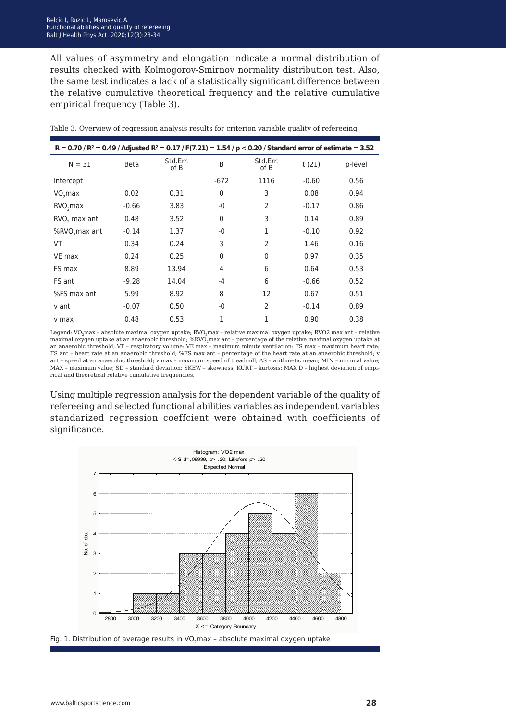All values of asymmetry and elongation indicate a normal distribution of results checked with Kolmogorov-Smirnov normality distribution test. Also, the same test indicates a lack of a statistically significant difference between the relative cumulative theoretical frequency and the relative cumulative empirical frequency (Table 3).

| R = 0.70 / R <sup>2</sup> = 0.49 / Adjusted R <sup>2</sup> = 0.17 / F(7.21) = 1.54 / p < 0.20 / Standard error of estimate = 3.52 |             |                  |              |                  |         |         |
|-----------------------------------------------------------------------------------------------------------------------------------|-------------|------------------|--------------|------------------|---------|---------|
| $N = 31$                                                                                                                          | <b>Beta</b> | Std.Err.<br>of B | B            | Std.Err.<br>of B | t(21)   | p-level |
| Intercept                                                                                                                         |             |                  | $-672$       | 1116             | $-0.60$ | 0.56    |
| VO <sub>2</sub> max                                                                                                               | 0.02        | 0.31             | $\mathbf{0}$ | 3                | 0.08    | 0.94    |
| RVO <sub>2</sub> max                                                                                                              | $-0.66$     | 3.83             | -0           | 2                | $-0.17$ | 0.86    |
| RVO <sub>2</sub> max ant                                                                                                          | 0.48        | 3.52             | $\mathbf{0}$ | 3                | 0.14    | 0.89    |
| %RVO <sub>2</sub> max ant                                                                                                         | $-0.14$     | 1.37             | -0           | 1                | $-0.10$ | 0.92    |
| VT                                                                                                                                | 0.34        | 0.24             | 3            | 2                | 1.46    | 0.16    |
| VE max                                                                                                                            | 0.24        | 0.25             | $\mathbf{0}$ | $\mathbf{0}$     | 0.97    | 0.35    |
| FS max                                                                                                                            | 8.89        | 13.94            | 4            | 6                | 0.64    | 0.53    |
| FS ant                                                                                                                            | $-9.28$     | 14.04            | $-4$         | 6                | $-0.66$ | 0.52    |
| %FS max ant                                                                                                                       | 5.99        | 8.92             | 8            | 12               | 0.67    | 0.51    |
| v ant                                                                                                                             | $-0.07$     | 0.50             | -0           | 2                | $-0.14$ | 0.89    |
| v max                                                                                                                             | 0.48        | 0.53             | 1            | 1                | 0.90    | 0.38    |

Table 3. Overview of regression analysis results for criterion variable quality of refereeing

Legend: VO<sub>2</sub>max - absolute maximal oxygen uptake; RVO<sub>2</sub>max - relative maximal oxygen uptake; RVO2 max ant - relative maximal oxygen uptake at an anaerobic threshold; %RVO<sub>2</sub>max ant - percentage of the relative maximal oxygen uptake at an anaerobic threshold; VT – respiratory volume; VE max – maximum minute ventilation; FS max – maximum heart rate; FS ant – heart rate at an anaerobic threshold; %FS max ant – percentage of the heart rate at an anaerobic threshold; v ant – speed at an anaerobic threshold; v max – maximum speed of treadmill; AS – arithmetic mean; MIN – minimal value; MAX – maximum value; SD – standard deviation; SKEW – skewness; KURT – kurtosis; MAX D – highest deviation of empirical and theoretical relative cumulative frequencies.

Using multiple regression analysis for the dependent variable of the quality of refereeing and selected functional abilities variables as independent variables standarized regression coeffcient were obtained with coefficients of significance.



Fig. 1. Distribution of average results in VO<sub>2</sub>max - absolute maximal oxygen uptake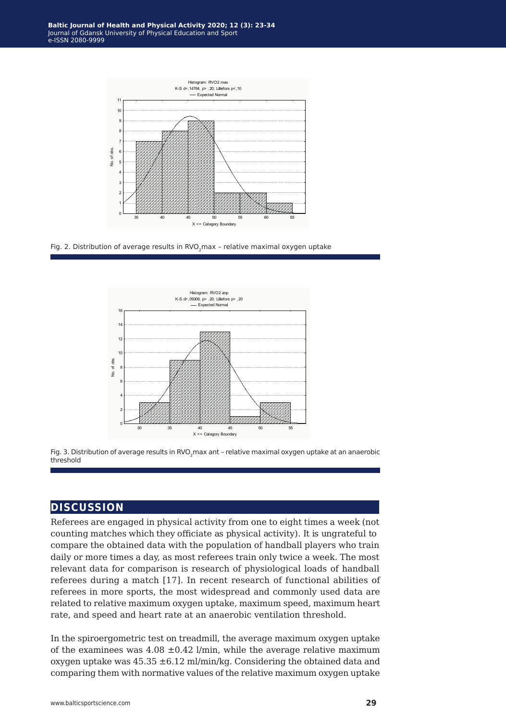

Fig. 2. Distribution of average results in RVO<sub>2</sub>max - relative maximal oxygen uptake





#### **discussion**

Referees are engaged in physical activity from one to eight times a week (not counting matches which they officiate as physical activity). It is ungrateful to compare the obtained data with the population of handball players who train daily or more times a day, as most referees train only twice a week. The most relevant data for comparison is research of physiological loads of handball referees during a match [17]. In recent research of functional abilities of referees in more sports, the most widespread and commonly used data are related to relative maximum oxygen uptake, maximum speed, maximum heart rate, and speed and heart rate at an anaerobic ventilation threshold.

In the spiroergometric test on treadmill, the average maximum oxygen uptake of the examinees was  $4.08 \pm 0.42$  l/min, while the average relative maximum oxygen uptake was  $45.35 \pm 6.12$  ml/min/kg. Considering the obtained data and comparing them with normative values of the relative maximum oxygen uptake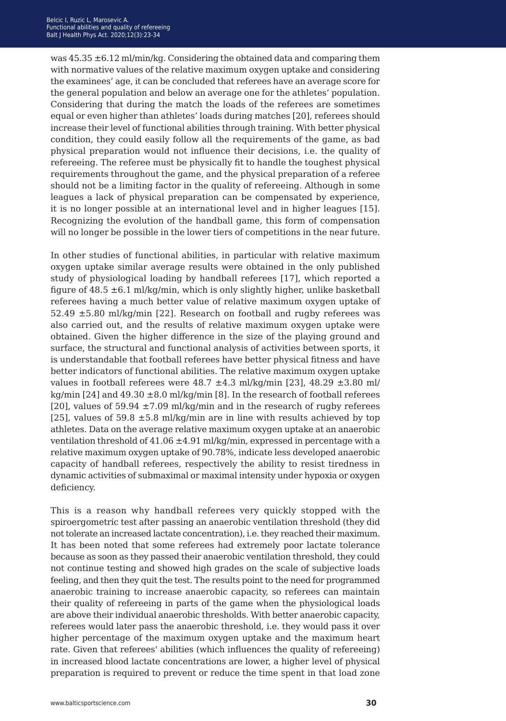was 45.35 ±6.12 ml/min/kg. Considering the obtained data and comparing them with normative values of the relative maximum oxygen uptake and considering the examinees' age, it can be concluded that referees have an average score for the general population and below an average one for the athletes' population. Considering that during the match the loads of the referees are sometimes equal or even higher than athletes' loads during matches [20], referees should increase their level of functional abilities through training. With better physical condition, they could easily follow all the requirements of the game, as bad physical preparation would not influence their decisions, i.e. the quality of refereeing. The referee must be physically fit to handle the toughest physical requirements throughout the game, and the physical preparation of a referee should not be a limiting factor in the quality of refereeing. Although in some leagues a lack of physical preparation can be compensated by experience, it is no longer possible at an international level and in higher leagues [15]. Recognizing the evolution of the handball game, this form of compensation will no longer be possible in the lower tiers of competitions in the near future.

In other studies of functional abilities, in particular with relative maximum oxygen uptake similar average results were obtained in the only published study of physiological loading by handball referees [17], which reported a figure of  $48.5 \pm 6.1$  ml/kg/min, which is only slightly higher, unlike basketball referees having a much better value of relative maximum oxygen uptake of 52.49  $\pm$ 5.80 ml/kg/min [22]. Research on football and rugby referees was also carried out, and the results of relative maximum oxygen uptake were obtained. Given the higher difference in the size of the playing ground and surface, the structural and functional analysis of activities between sports, it is understandable that football referees have better physical fitness and have better indicators of functional abilities. The relative maximum oxygen uptake values in football referees were  $48.7 \pm 4.3$  ml/kg/min [23],  $48.29 \pm 3.80$  ml/ kg/min [24] and  $49.30 \pm 8.0$  ml/kg/min [8]. In the research of football referees [20], values of  $59.94 \pm 7.09 \text{ m}$ /kg/min and in the research of rugby referees [25], values of 59.8  $\pm$ 5.8 ml/kg/min are in line with results achieved by top athletes. Data on the average relative maximum oxygen uptake at an anaerobic ventilation threshold of  $41.06 \pm 4.91$  ml/kg/min, expressed in percentage with a relative maximum oxygen uptake of 90.78%, indicate less developed anaerobic capacity of handball referees, respectively the ability to resist tiredness in dynamic activities of submaximal or maximal intensity under hypoxia or oxygen deficiency.

This is a reason why handball referees very quickly stopped with the spiroergometric test after passing an anaerobic ventilation threshold (they did not tolerate an increased lactate concentration), i.e. they reached their maximum. It has been noted that some referees had extremely poor lactate tolerance because as soon as they passed their anaerobic ventilation threshold, they could not continue testing and showed high grades on the scale of subjective loads feeling, and then they quit the test. The results point to the need for programmed anaerobic training to increase anaerobic capacity, so referees can maintain their quality of refereeing in parts of the game when the physiological loads are above their individual anaerobic thresholds. With better anaerobic capacity, referees would later pass the anaerobic threshold, i.e. they would pass it over higher percentage of the maximum oxygen uptake and the maximum heart rate. Given that referees' abilities (which influences the quality of refereeing) in increased blood lactate concentrations are lower, a higher level of physical preparation is required to prevent or reduce the time spent in that load zone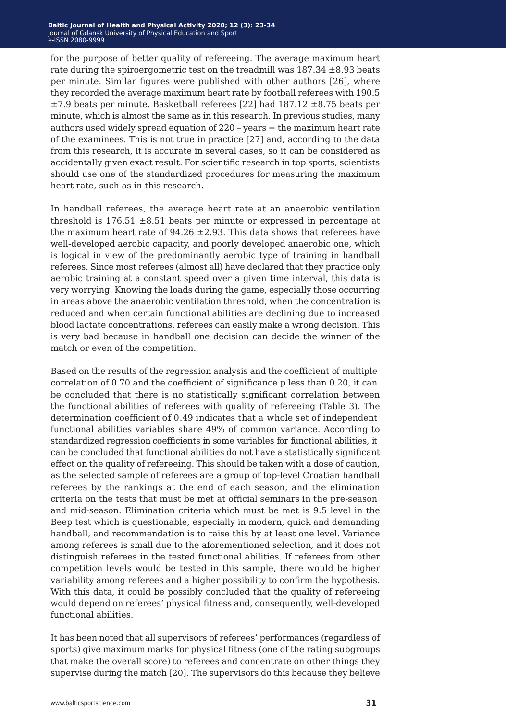for the purpose of better quality of refereeing. The average maximum heart rate during the spiroergometric test on the treadmill was  $187.34 \pm 8.93$  beats per minute. Similar figures were published with other authors [26], where they recorded the average maximum heart rate by football referees with 190.5  $\pm$ 7.9 beats per minute. Basketball referees [22] had 187.12  $\pm$ 8.75 beats per minute, which is almost the same as in this research. In previous studies, many authors used widely spread equation of 220 *−* years = the maximum heart rate of the examinees. This is not true in practice [27] and, according to the data from this research, it is accurate in several cases, so it can be considered as accidentally given exact result. For scientific research in top sports, scientists should use one of the standardized procedures for measuring the maximum heart rate, such as in this research.

In handball referees, the average heart rate at an anaerobic ventilation threshold is  $176.51 \pm 8.51$  beats per minute or expressed in percentage at the maximum heart rate of  $94.26 \pm 2.93$ . This data shows that referees have well-developed aerobic capacity, and poorly developed anaerobic one, which is logical in view of the predominantly aerobic type of training in handball referees. Since most referees (almost all) have declared that they practice only aerobic training at a constant speed over a given time interval, this data is very worrying. Knowing the loads during the game, especially those occurring in areas above the anaerobic ventilation threshold, when the concentration is reduced and when certain functional abilities are declining due to increased blood lactate concentrations, referees can easily make a wrong decision. This is very bad because in handball one decision can decide the winner of the match or even of the competition.

Based on the results of the regression analysis and the coefficient of multiple correlation of 0.70 and the coefficient of significance p less than 0.20, it can be concluded that there is no statistically significant correlation between the functional abilities of referees with quality of refereeing (Table 3). The determination coefficient of 0.49 indicates that a whole set of independent functional abilities variables share 49% of common variance. According to standardized regression coefficients in some variables for functional abilities, it can be concluded that functional abilities do not have a statistically significant effect on the quality of refereeing. This should be taken with a dose of caution, as the selected sample of referees are a group of top-level Croatian handball referees by the rankings at the end of each season, and the elimination criteria on the tests that must be met at official seminars in the pre-season and mid-season. Elimination criteria which must be met is 9.5 level in the Beep test which is questionable, especially in modern, quick and demanding handball, and recommendation is to raise this by at least one level. Variance among referees is small due to the aforementioned selection, and it does not distinguish referees in the tested functional abilities. If referees from other competition levels would be tested in this sample, there would be higher variability among referees and a higher possibility to confirm the hypothesis. With this data, it could be possibly concluded that the quality of refereeing would depend on referees' physical fitness and, consequently, well-developed functional abilities.

It has been noted that all supervisors of referees' performances (regardless of sports) give maximum marks for physical fitness (one of the rating subgroups that make the overall score) to referees and concentrate on other things they supervise during the match [20]. The supervisors do this because they believe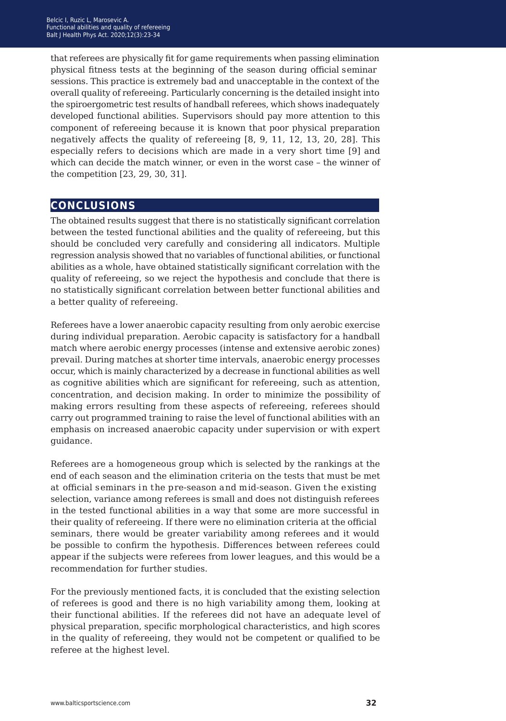that referees are physically fit for game requirements when passing elimination physical fitness tests at the beginning of the season during official seminar sessions. This practice is extremely bad and unacceptable in the context of the overall quality of refereeing. Particularly concerning is the detailed insight into the spiroergometric test results of handball referees, which shows inadequately developed functional abilities. Supervisors should pay more attention to this component of refereeing because it is known that poor physical preparation negatively affects the quality of refereeing [8, 9, 11, 12, 13, 20, 28]. This especially refers to decisions which are made in a very short time [9] and which can decide the match winner, or even in the worst case – the winner of the competition [23, 29, 30, 31].

### **conclusions**

The obtained results suggest that there is no statistically significant correlation between the tested functional abilities and the quality of refereeing, but this should be concluded very carefully and considering all indicators. Multiple regression analysis showed that no variables of functional abilities, or functional abilities as a whole, have obtained statistically significant correlation with the quality of refereeing, so we reject the hypothesis and conclude that there is no statistically significant correlation between better functional abilities and a better quality of refereeing.

Referees have a lower anaerobic capacity resulting from only aerobic exercise during individual preparation. Aerobic capacity is satisfactory for a handball match where aerobic energy processes (intense and extensive aerobic zones) prevail. During matches at shorter time intervals, anaerobic energy processes occur, which is mainly characterized by a decrease in functional abilities as well as cognitive abilities which are significant for refereeing, such as attention, concentration, and decision making. In order to minimize the possibility of making errors resulting from these aspects of refereeing, referees should carry out programmed training to raise the level of functional abilities with an emphasis on increased anaerobic capacity under supervision or with expert guidance.

Referees are a homogeneous group which is selected by the rankings at the end of each season and the elimination criteria on the tests that must be met at official seminars in the pre-season and mid-season. Given the existing selection, variance among referees is small and does not distinguish referees in the tested functional abilities in a way that some are more successful in their quality of refereeing. If there were no elimination criteria at the official seminars, there would be greater variability among referees and it would be possible to confirm the hypothesis. Differences between referees could appear if the subjects were referees from lower leagues, and this would be a recommendation for further studies.

For the previously mentioned facts, it is concluded that the existing selection of referees is good and there is no high variability among them, looking at their functional abilities. If the referees did not have an adequate level of physical preparation, specific morphological characteristics, and high scores in the quality of refereeing, they would not be competent or qualified to be referee at the highest level.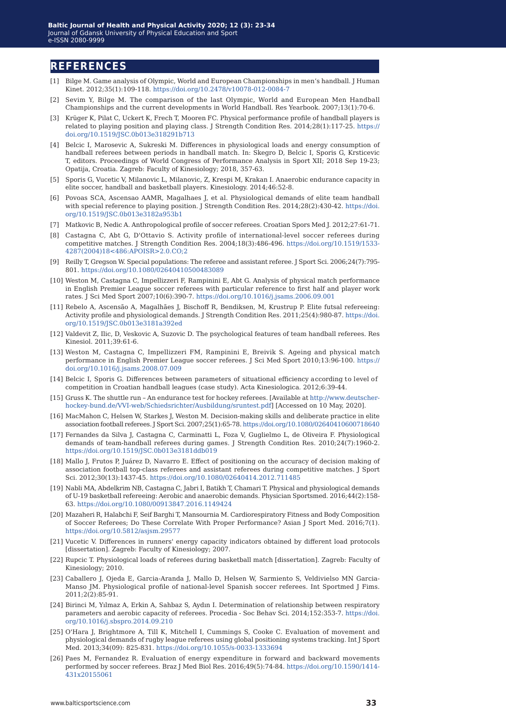#### **references**

- [1] Bilge M. Game analysis of Olympic, World and European Championships in men's handball. J Human Kinet. 2012;35(1):109-118. <https://doi.org/10.2478/v10078-012-0084-7>
- [2] Sevim Y, Bilge M. The comparison of the last Olympic, World and European Men Handball Championships and the current developments in World Handball. Res Yearbook. 2007;13(1):70-6.
- [3] Krüger K, Pilat C, Uckert K, Frech T, Mooren FC. Physical performance profile of handball players is related to playing position and playing class. J Strength Condition Res. 2014;28(1):117-25. [https://](https://doi.org/10.1519/JSC.0b013e318291b713) [doi.org/10.1519/JSC.0b013e318291b713](https://doi.org/10.1519/JSC.0b013e318291b713)
- [4] Belcic I, Marosevic A, Sukreski M. Differences in physiological loads and energy consumption of handball referees between periods in handball match. In: Skegro D, Belcic I, Sporis G, Krsticevic T, editors. Proceedings of World Congress of Performance Analysis in Sport XII; 2018 Sep 19-23; Opatija, Croatia. Zagreb: Faculty of Kinesiology; 2018, 357-63.
- [5] Sporis G, Vucetic V, Milanovic L, Milanovic, Z, Krespi M, Krakan I. Anaerobic endurance capacity in elite soccer, handball and basketball players. Kinesiology. 2014;46:52-8.
- [6] Povoas SCA, Ascensao AAMR, Magalhaes J, et al. Physiological demands of elite team handball with special reference to playing position. J Strength Condition Res. 2014;28(2):430-42. [https://doi.](https://doi.org/10.1519/JSC.0b013e3182a953b1) [org/10.1519/JSC.0b013e3182a953b1](https://doi.org/10.1519/JSC.0b013e3182a953b1)
- [7] Matkovic B, Nedic A. Anthropological profile of soccer referees. Croatian Spors Med J. 2012;27:61-71.
- [8] Castagna C, Abt G, D'Ottavio S. Activity profile of international-level soccer referees during competitive matches. J Strength Condition Res. 2004;18(3):486-496. [https://doi.org/10.1519/1533-](https://doi.org/10.1519/1533-4287(2004)18<486:APOISR>2.0.CO;2) [4287\(2004\)18<486:APOISR>2.0.CO;2](https://doi.org/10.1519/1533-4287(2004)18<486:APOISR>2.0.CO;2)
- [9] Reilly T, Gregson W. Special populations: The referee and assistant referee. J Sport Sci. 2006;24(7):795- 801.<https://doi.org/10.1080/02640410500483089>
- [10] Weston M, Castagna C, Impellizzeri F, Rampinini E, Abt G. Analysis of physical match performance in English Premier League soccer referees with particular reference to first half and player work rates. J Sci Med Sport 2007;10(6):390-7. <https://doi.org/10.1016/j.jsams.2006.09.001>
- [11]Rebelo A, Ascensão A, Magalhães J, Bischoff R, Bendiksen, M, Krustrup P. Elite futsal refereeing: Activity profile and physiological demands. J Strength Condition Res. 2011;25(4):980-87. [https://doi.](https://doi.org/10.1519/JSC.0b013e3181a392ed) [org/10.1519/JSC.0b013e3181a392ed](https://doi.org/10.1519/JSC.0b013e3181a392ed)
- [12] Valdevit Z, Ilic, D, Veskovic A, Suzovic D. The psychological features of team handball referees. Res Kinesiol. 2011;39:61-6.
- [13] Weston M, Castagna C, Impellizzeri FM, Rampinini E, Breivik S. Ageing and physical match performance in English Premier League soccer referees. J Sci Med Sport 2010;13:96-100. [https://](https://doi.org/10.1016/j.jsams.2008.07.009) [doi.org/10.1016/j.jsams.2008.07.009](https://doi.org/10.1016/j.jsams.2008.07.009)
- [14] Belcic I, Sporis G. Differences between parameters of situational efficiency according to level of competition in Croatian handball leagues (case study). Acta Kinesiologica. 2012;6:39-44.
- [15] Gruss K. The shuttle run *−* An endurance test for hockey referees. [Available at [http://www.deutscher](http://www.deutscher-hockey-bund.de/VVI-web/Schiedsrichter/Ausbildung/sruntest.pdf)[hockey-bund.de/VVI-web/Schiedsrichter/Ausbildung/sruntest.pdf\]](http://www.deutscher-hockey-bund.de/VVI-web/Schiedsrichter/Ausbildung/sruntest.pdf) [Accessed on 10 May, 2020].
- [16] MacMahon C, Helsen W, Starkes J, Weston M. Decision-making skills and deliberate practice in elite association football referees. J Sport Sci. 2007;25(1):65-78.<https://doi.org/10.1080/02640410600718640>
- [17] Fernandes da Silva J, Castagna C, Carminatti L, Foza V, Guglielmo L, de Oliveira F. Physiological demands of team-handball referees during games. J Strength Condition Res. 2010;24(7):1960-2. <https://doi.org/10.1519/JSC.0b013e3181ddb019>
- [18] Mallo J, Frutos P, Juárez D, Navarro E. Effect of positioning on the accuracy of decision making of association football top-class referees and assistant referees during competitive matches. J Sport Sci. 2012;30(13):1437-45.<https://doi.org/10.1080/02640414.2012.711485>
- [19] Nabli MA, Abdelkrim NB, Castagna C, Jabri I, Batikh T, Chamari T. Physical and physiological demands of U-19 basketball refereeing: Aerobic and anaerobic demands. Physician Sportsmed. 2016;44(2):158- 63. <https://doi.org/10.1080/00913847.2016.1149424>
- [20] Mazaheri R, Halabchi F, Seif Barghi T, Mansournia M. Cardiorespiratory Fitness and Body Composition of Soccer Referees; Do These Correlate With Proper Performance? Asian J Sport Med. 2016;7(1). <https://doi.org/10.5812/asjsm.29577>
- [21] Vucetic V. Differences in runners' energy capacity indicators obtained by different load protocols [dissertation]. Zagreb: Faculty of Kinesiology; 2007.
- [22] Rupcic T. Physiological loads of referees during basketball match [dissertation]. Zagreb: Faculty of Kinesiology; 2010.
- [23] Caballero J, Ojeda E, Garcia-Aranda J, Mallo D, Helsen W, Sarmiento S, Veldivielso MN Garcia-Manso JM. Physiological profile of national-level Spanish soccer referees. Int Sportmed J Fims. 2011;2(2):85-91.
- [24] Birinci M, Yılmaz A, Erkin A, Sahbaz S, Aydın I. Determination of relationship between respiratory parameters and aerobic capacity of referees. Procedia - Soc Behav Sci. 2014;152:353-7. [https://doi.](https://doi.org/10.1016/j.sbspro.2014.09.210) [org/10.1016/j.sbspro.2014.09.210](https://doi.org/10.1016/j.sbspro.2014.09.210)
- [25] O'Hara J, Brightmore A, Till K, Mitchell I, Cummings S, Cooke C. Evaluation of movement and physiological demands of rugby league referees using global positioning systems tracking. Int J Sport Med. 2013;34(09): 825-831.<https://doi.org/10.1055/s-0033-1333694>
- [26] Paes M, Fernandez R. Evaluation of energy expenditure in forward and backward movements performed by soccer referees. Braz J Med Biol Res. 2016;49(5):74-84. [https://doi.org/10.1590/1414-](https://doi.org/10.1590/1414-431x20155061) [431x20155061](https://doi.org/10.1590/1414-431x20155061)